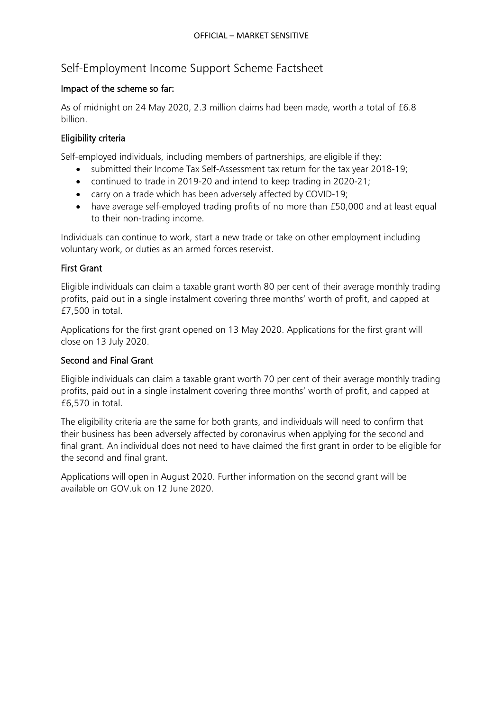# Self-Employment Income Support Scheme Factsheet

### Impact of the scheme so far:

As of midnight on 24 May 2020, 2.3 million claims had been made, worth a total of £6.8 billion.

#### Eligibility criteria

Self-employed individuals, including members of partnerships, are eligible if they:

- submitted their Income Tax Self-Assessment tax return for the tax year 2018-19;
- continued to trade in 2019-20 and intend to keep trading in 2020-21;
- carry on a trade which has been adversely affected by COVID-19;
- have average self-employed trading profits of no more than £50,000 and at least equal to their non-trading income.

Individuals can continue to work, start a new trade or take on other employment including voluntary work, or duties as an armed forces reservist.

#### First Grant

Eligible individuals can claim a taxable grant worth 80 per cent of their average monthly trading profits, paid out in a single instalment covering three months' worth of profit, and capped at £7,500 in total.

Applications for the first grant opened on 13 May 2020. Applications for the first grant will close on 13 July 2020.

### Second and Final Grant

Eligible individuals can claim a taxable grant worth 70 per cent of their average monthly trading profits, paid out in a single instalment covering three months' worth of profit, and capped at £6,570 in total.

The eligibility criteria are the same for both grants, and individuals will need to confirm that their business has been adversely affected by coronavirus when applying for the second and final grant. An individual does not need to have claimed the first grant in order to be eligible for the second and final grant.

Applications will open in August 2020. Further information on the second grant will be available on GOV.uk on 12 June 2020.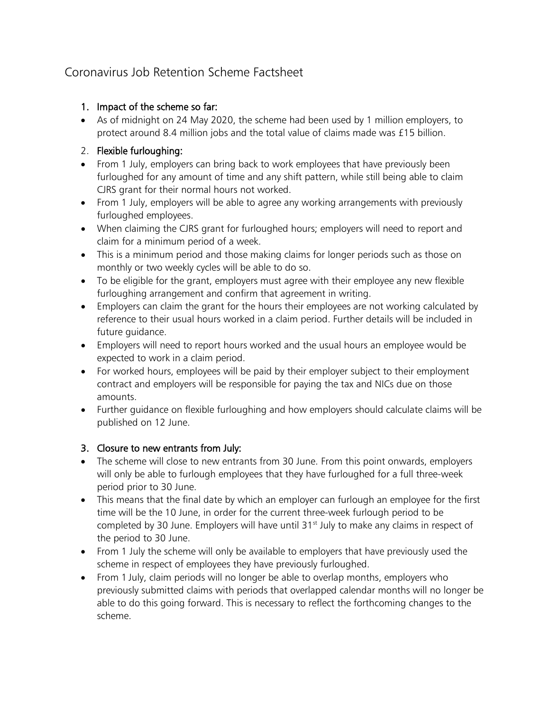# Coronavirus Job Retention Scheme Factsheet

#### 1. Impact of the scheme so far:

• As of midnight on 24 May 2020, the scheme had been used by 1 million employers, to protect around 8.4 million jobs and the total value of claims made was £15 billion.

### 2. Flexible furloughing:

- From 1 July, employers can bring back to work employees that have previously been furloughed for any amount of time and any shift pattern, while still being able to claim CJRS grant for their normal hours not worked.
- From 1 July, employers will be able to agree any working arrangements with previously furloughed employees.
- When claiming the CJRS grant for furloughed hours; employers will need to report and claim for a minimum period of a week.
- This is a minimum period and those making claims for longer periods such as those on monthly or two weekly cycles will be able to do so.
- To be eligible for the grant, employers must agree with their employee any new flexible furloughing arrangement and confirm that agreement in writing.
- Employers can claim the grant for the hours their employees are not working calculated by reference to their usual hours worked in a claim period. Further details will be included in future quidance.
- Employers will need to report hours worked and the usual hours an employee would be expected to work in a claim period.
- For worked hours, employees will be paid by their employer subject to their employment contract and employers will be responsible for paying the tax and NICs due on those amounts.
- Further guidance on flexible furloughing and how employers should calculate claims will be published on 12 June.

## 3. Closure to new entrants from July:

- The scheme will close to new entrants from 30 June. From this point onwards, employers will only be able to furlough employees that they have furloughed for a full three-week period prior to 30 June.
- This means that the final date by which an employer can furlough an employee for the first time will be the 10 June, in order for the current three-week furlough period to be completed by 30 June. Employers will have until 31<sup>st</sup> July to make any claims in respect of the period to 30 June.
- From 1 July the scheme will only be available to employers that have previously used the scheme in respect of employees they have previously furloughed.
- From 1 July, claim periods will no longer be able to overlap months, employers who previously submitted claims with periods that overlapped calendar months will no longer be able to do this going forward. This is necessary to reflect the forthcoming changes to the scheme.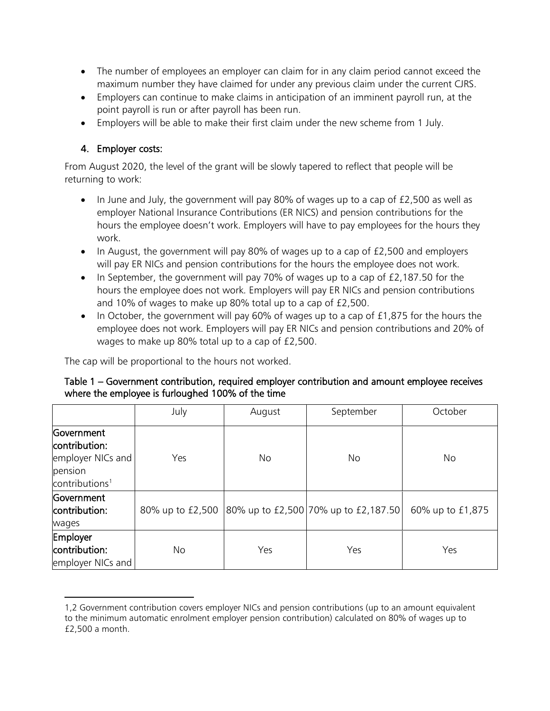- The number of employees an employer can claim for in any claim period cannot exceed the maximum number they have claimed for under any previous claim under the current CJRS.
- Employers can continue to make claims in anticipation of an imminent payroll run, at the point payroll is run or after payroll has been run.
- Employers will be able to make their first claim under the new scheme from 1 July.

### 4. Employer costs:

l

From August 2020, the level of the grant will be slowly tapered to reflect that people will be returning to work:

- In June and July, the government will pay 80% of wages up to a cap of  $£2,500$  as well as employer National Insurance Contributions (ER NICS) and pension contributions for the hours the employee doesn't work. Employers will have to pay employees for the hours they work.
- In August, the government will pay 80% of wages up to a cap of £2,500 and employers will pay ER NICs and pension contributions for the hours the employee does not work.
- In September, the government will pay 70% of wages up to a cap of £2,187.50 for the hours the employee does not work. Employers will pay ER NICs and pension contributions and 10% of wages to make up 80% total up to a cap of £2,500.
- In October, the government will pay 60% of wages up to a cap of £1,875 for the hours the employee does not work. Employers will pay ER NICs and pension contributions and 20% of wages to make up 80% total up to a cap of £2,500.

The cap will be proportional to the hours not worked.

#### Table 1 – Government contribution, required employer contribution and amount employee receives where the employee is furloughed 100% of the time

|                                                                                           | July             | August | September                            | October          |  |
|-------------------------------------------------------------------------------------------|------------------|--------|--------------------------------------|------------------|--|
| Government<br>contribution:<br>employer NICs and<br>pension<br>contributions <sup>1</sup> | Yes              | No     | No                                   | No               |  |
| Government<br>contribution:<br>wages                                                      | 80% up to £2,500 |        | 80% up to £2,500 70% up to £2,187.50 | 60% up to £1,875 |  |
| Employer<br>contribution:<br>employer NICs and                                            | No               | Yes    | Yes                                  | Yes              |  |

<span id="page-2-0"></span><sup>1,2</sup> Government contribution covers employer NICs and pension contributions (up to an amount equivalent to the minimum automatic enrolment employer pension contribution) calculated on 80% of wages up to £2,500 a month.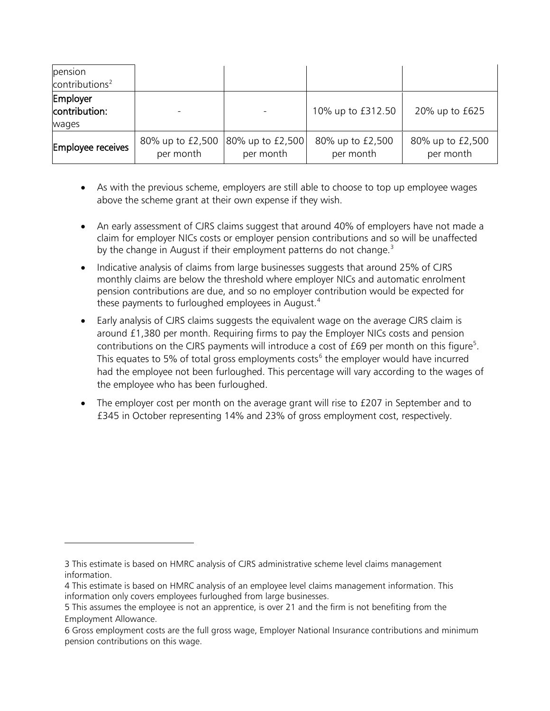| pension<br>contribution <sup>2</sup> |                               |                               |                               |                               |
|--------------------------------------|-------------------------------|-------------------------------|-------------------------------|-------------------------------|
| Employer<br>contribution:<br>wages   |                               |                               | 10% up to £312.50             | 20% up to £625                |
| Employee receives                    | 80% up to £2,500<br>per month | 80% up to £2,500<br>per month | 80% up to £2,500<br>per month | 80% up to £2,500<br>per month |

- As with the previous scheme, employers are still able to choose to top up employee wages above the scheme grant at their own expense if they wish.
- An early assessment of CJRS claims suggest that around 40% of employers have not made a claim for employer NICs costs or employer pension contributions and so will be unaffected by the change in August if their employment patterns do not change. $3$
- Indicative analysis of claims from large businesses suggests that around 25% of CJRS monthly claims are below the threshold where employer NICs and automatic enrolment pension contributions are due, and so no employer contribution would be expected for these payments to furloughed employees in August.<sup>[4](#page-3-2)</sup>
- Early analysis of CJRS claims suggests the equivalent wage on the average CJRS claim is around £1,380 per month. Requiring firms to pay the Employer NICs costs and pension contributions on the CJRS payments will introduce a cost of £69 per month on this figure<sup>[5](#page-3-3)</sup>. This equates to 5% of total gross employments costs<sup>[6](#page-3-4)</sup> the employer would have incurred had the employee not been furloughed. This percentage will vary according to the wages of the employee who has been furloughed.
- The employer cost per month on the average grant will rise to £207 in September and to £345 in October representing 14% and 23% of gross employment cost, respectively.

 $\overline{\phantom{a}}$ 

<span id="page-3-1"></span><span id="page-3-0"></span><sup>3</sup> This estimate is based on HMRC analysis of CJRS administrative scheme level claims management information.

<span id="page-3-2"></span><sup>4</sup> This estimate is based on HMRC analysis of an employee level claims management information. This information only covers employees furloughed from large businesses.

<span id="page-3-3"></span><sup>5</sup> This assumes the employee is not an apprentice, is over 21 and the firm is not benefiting from the Employment Allowance.

<span id="page-3-4"></span><sup>6</sup> Gross employment costs are the full gross wage, Employer National Insurance contributions and minimum pension contributions on this wage.